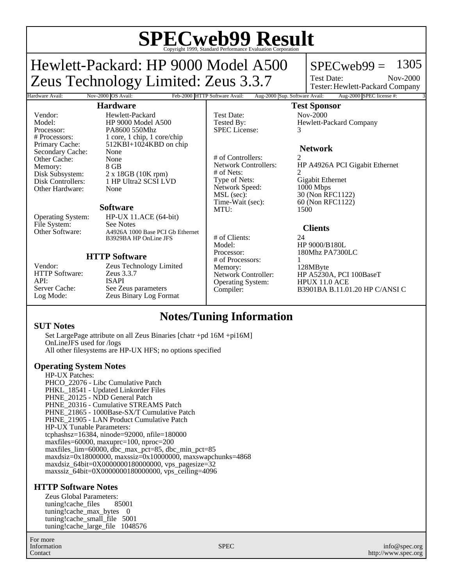# **SPECweb99 Result** Copyright 1999, Standard Performance Evaluation Corporation

## Hewlett-Packard: HP 9000 Model A500 Zeus Technology Limited: Zeus 3.3.7

### $SPECweb99 = 1305$

Test Date: Tester: Hewlett-Packard Company Nov-2000

### **Hardware**

Hardware Avail: Nov-2000 OS Avail: Feb-2000 HTTP Software Avail: Aug-2000 Sup. Software Avail: Aug-2000 SPEC license #:

SPEC License:

# of Nets:<br>Type of Nets:

Network Speed:<br>MSL (sec):

Operating System:

### **Test Sponsor**

Test Date: Nov-2000 Tested By: Flewlett-Packard Company<br>SPEC License: 3

### **Network**

# of Controllers: 2<br>Network Controllers: H HP A4926A PCI Gigabit Ethernet Gigabit Ethernet<br>1000 Mbps MSL (sec): 30 (Non RFC1122)<br>Time-Wait (sec): 60 (Non RFC1122) 60 (Non RFC1122) MTU: 1500

### **Clients**

# of Clients: 24 Model: HP 9000/B180L<br>Processor: 180Mhz PA7300 180Mhz PA7300LC

# of Processors: 1 Memory: 128MByte<br>Network Controller: HP A5230/ HP A5230A, PCI 100BaseT<br>HPUX 11.0 ACE Compiler: B3901BA B.11.01.20 HP C/ANSI C

Vendor: Hewlett-Packard<br>Model: HP 9000 Model Processor: PA8600 550Mhz<br>
# Processors: 1 core, 1 chip. 1 c Secondary Cache: None Other Cache: None<br>
Memory: 8 GB Memory:<br>Disk Subsystem: Other Hardware: None

Model: HP 9000 Model A500<br>Processor: PA8600 550Mhz # Processors: 1 core, 1 chip, 1 core/chip<br>Primary Cache: 512KBI+1024KBD on chi  $512KBI+1024KBD$  on chip Disk Subsystem: 2 x 18GB (10K rpm)<br>Disk Controllers: 1 HP Ultra2 SCSI LN 1 HP Ultra2 SCSI LVD

#### **Software**

Operating System: HP-UX 11.ACE (64-bit) File System: See Notes<br>Other Software: A4926A 100 A4926A 1000 Base PCI Gb Ethernet B3929BA HP OnLine JFS

### **HTTP Software**

HTTP Software: API: ISAPI<br>Server Cache: See Ze

Vendor: Zeus Technology Limited<br>HTTP Software: Zeus 3.3.7 Server Cache: See Zeus parameters<br>
Log Mode: Zeus Binary Log For Zeus Binary Log Format

### **Notes/Tuning Information**

### **SUT Notes**

Set LargePage attribute on all Zeus Binaries [chatr +pd 16M +pi16M] OnLineJFS used for /logs All other filesystems are HP-UX HFS; no options specified

### **Operating System Notes**

HP-UX Patches: PHCO 22076 - Libc Cumulative Patch PHKL\_18541 - Updated Linkorder Files PHNE\_20125 - NDD General Patch PHNE\_20316 - Cumulative STREAMS Patch PHNE\_21865 - 1000Base-SX/T Cumulative Patch PHNE\_21905 - LAN Product Cumulative Patch HP-UX Tunable Parameters: tcphashsz=16384, ninode=92000, nfile=180000 maxfiles=60000, maxuprc=100, nproc=200 maxfiles\_lim=60000, dbc\_max\_pct=85, dbc\_min\_pct=85 maxdsiz=0x18000000, maxssiz=0x10000000, maxswapchunks=4868 maxdsiz\_64bit=0X0000000180000000, vps\_pagesize=32 maxssiz\_64bit=0X0000000180000000, vps\_ceiling=4096

### **HTTP Software Notes**

Zeus Global Parameters:<br>tuning!cache files 85001 tuning!cache\_files tuning!cache\_max\_bytes 0 tuning!cache\_small\_file 5001 tuning!cache\_large\_file 1048576

For more Information Contact